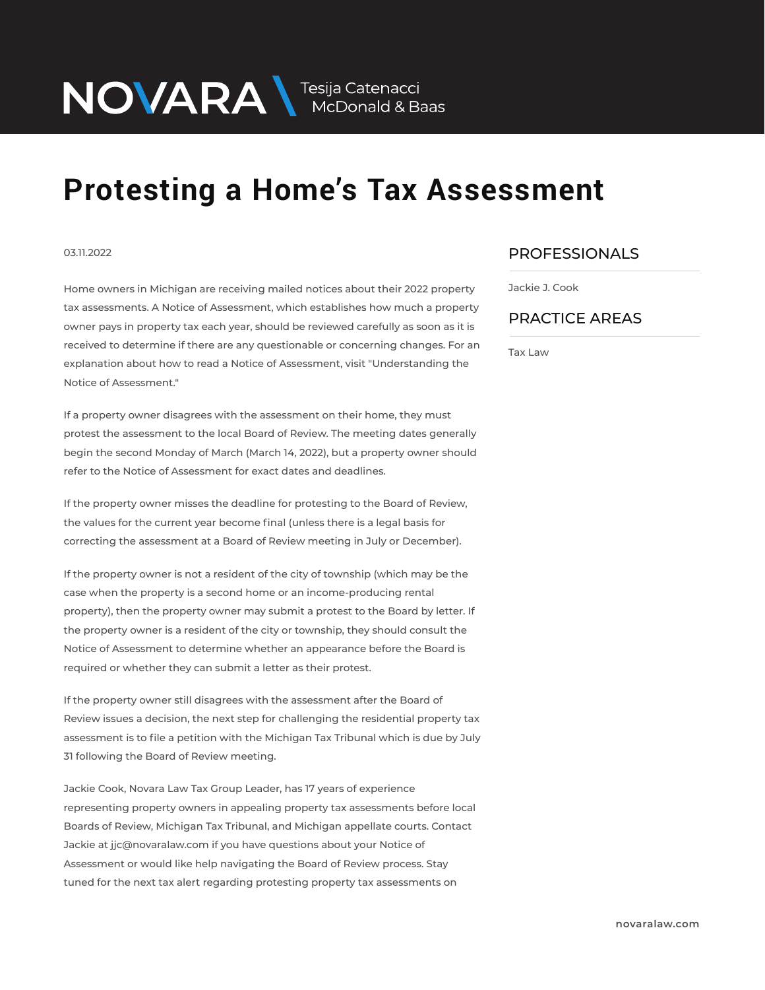## **Protesting a Home's Tax Assessment**

## 03.11.2022

Home owners in Michigan are receiving mailed notices about their 2022 property tax assessments. A Notice of Assessment, which establishes how much a property owner pays in property tax each year, should be reviewed carefully as soon as it is received to determine if there are any questionable or concerning changes. For an explanation about how to read a Notice of Assessment, visit "Understanding the Notice of Assessment."

NOVARA MEDOnald & Baas

If a property owner disagrees with the assessment on their home, they must protest the assessment to the local Board of Review. The meeting dates generally begin the second Monday of March (March 14, 2022), but a property owner should refer to the Notice of Assessment for exact dates and deadlines.

If the property owner misses the deadline for protesting to the Board of Review, the values for the current year become final (unless there is a legal basis for correcting the assessment at a Board of Review meeting in July or December).

If the property owner is not a resident of the city of township (which may be the case when the property is a second home or an income-producing rental property), then the property owner may submit a protest to the Board by letter. If the property owner is a resident of the city or township, they should consult the Notice of Assessment to determine whether an appearance before the Board is required or whether they can submit a letter as their protest.

If the property owner still disagrees with the assessment after the Board of Review issues a decision, the next step for challenging the residential property tax assessment is to file a petition with the Michigan Tax Tribunal which is due by July 31 following the Board of Review meeting.

Jackie Cook, Novara Law Tax Group Leader, has 17 years of experience representing property owners in appealing property tax assessments before local Boards of Review, Michigan Tax Tribunal, and Michigan appellate courts. Contact Jackie at jjc@novaralaw.com if you have questions about your Notice of Assessment or would like help navigating the Board of Review process. Stay tuned for the next tax alert regarding protesting property tax assessments on

## PROFESSIONALS  $\overline{\phantom{a}}$

Jackie J. Cook

## PRACTICE AREAS  $\overline{\phantom{a}}$

Tax Law